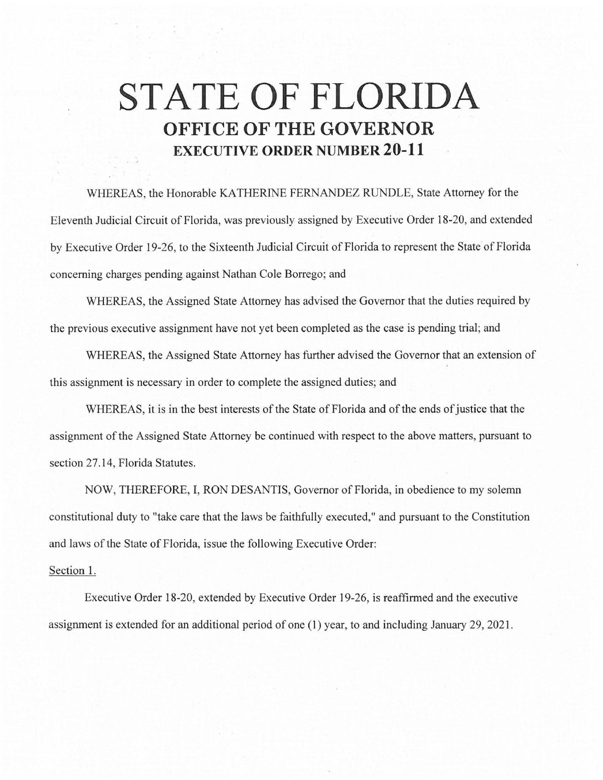## **STATE OF FLORIDA OFFICE OF THE GOVERNOR EXECUTIVE ORDER NUMBER 20-11**

WHEREAS, the Honorable KATHERINE FERNANDEZ RUNDLE, State Attorney for the Eleventh Judicial Circuit of Florida, was previously assigned by Executive Order 18-20, and extended by Executive Order 19-26, to the Sixteenth Judicial Circuit of Florida to represent the State of Florida concerning charges pending against Nathan Cole Borrego; and

WHEREAS, the Assigned State Attorney has advised the Governor that the duties required by the previous executive assignment have not yet been completed as the case is pending trial; and

WHEREAS, the Assigned State Attorney has further advised the Governor that an extension of this assignment is necessary in order to complete the assigned duties; and

WHEREAS, it is in the best interests of the State of Florida and of the ends of justice that the assignment of the Assigned State Attorney be continued with respect to the above matters, pursuant to section 27.14, Florida Statutes.

NOW, THEREFORE, I, RON DESANTIS, Governor of Florida, in obedience to my solemn constitutional duty to "take care that the laws be faithfully executed," and pursuant to the Constitution and laws of the State of Florida, issue the following Executive Order:

## Section 1.

Executive Order 18-20, extended by Executive Order 19-26, is reaffirmed and the executive assignment is extended for an additional period of one (1) year, to and including January 29, 2021.